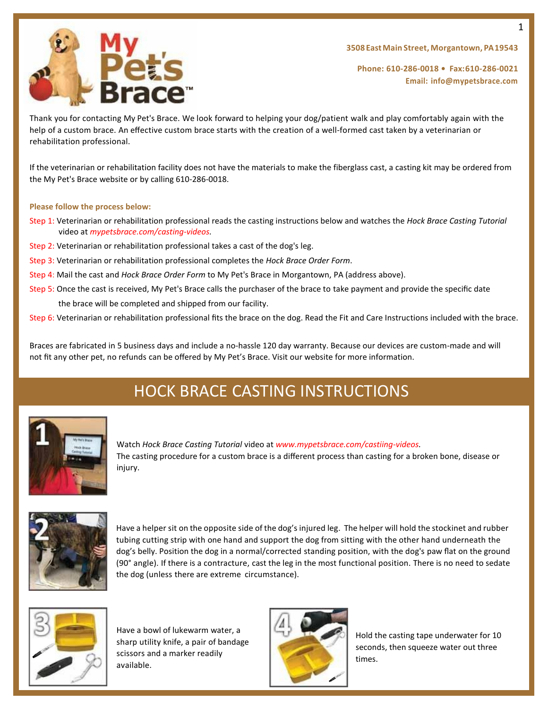



**Phone: 610-286-0018 • Fax:610-286-0021 Email: [info@mypetsbrace.com](mailto:info@mypetsbrace.com)**

Thank you for contacting My Pet's Brace. We look forward to helping your dog/patient walk and play comfortably again with the help of a custom brace. An effective custom brace starts with the creation of a well-formed cast taken by a veterinarian or rehabilitation professional.

If the veterinarian or rehabilitation facility does not have the materials to make the fiberglass cast, a casting kit may be ordered from the My Pet's Brace website or by calling 610-286-0018.

#### **Please follow the process below:**

- Step 1: Veterinarian or rehabilitation professional reads the casting instructions below and watches the *Hock Brace Casting Tutorial*  video at *mypetsbrace.com/casting-videos.*
- Step 2: Veterinarian or rehabilitation professional takes a cast of the dog's leg.
- Step 3: Veterinarian or rehabilitation professional completes the *Hock Brace Order Form*.
- Step 4: Mail the cast and *Hock Brace Order Form* to My Pet's Brace in Morgantown, PA (address above).
- Step 5: Once the cast is received, My Pet's Brace calls the purchaser of the brace to take payment and provide the specific date the brace will be completed and shipped from our facility.
- Step 6: Veterinarian or rehabilitation professional fits the brace on the dog. Read the Fit and Care Instructions included with the brace.

Braces are fabricated in 5 business days and include a no-hassle 120 day warranty. Because our devices are custom-made and will not fit any other pet, no refunds can be offered by My Pet's Brace. Visit our website for more information.

# HOCK BRACE CASTING INSTRUCTIONS



Watch *Hock Brace Casting Tutorial* video at *www.mypetsbrace.com/castiing-videos.* The casting procedure for a custom brace is a different process than casting for a broken bone, disease or injury.



Have a helper sit on the opposite side of the dog's injured leg. The helper will hold the stockinet and rubber tubing cutting strip with one hand and support the dog from sitting with the other hand underneath the dog's belly. Position the dog in a normal/corrected standing position, with the dog's paw flat on the ground (90° angle). If there is a contracture, cast the leg in the most functional position. There is no need to sedate the dog (unless there are extreme circumstance).



Have a bowl of lukewarm water, a sharp utility knife, a pair of bandage scissors and a marker readily available.



Hold the casting tape underwater for 10 seconds, then squeeze water out three times.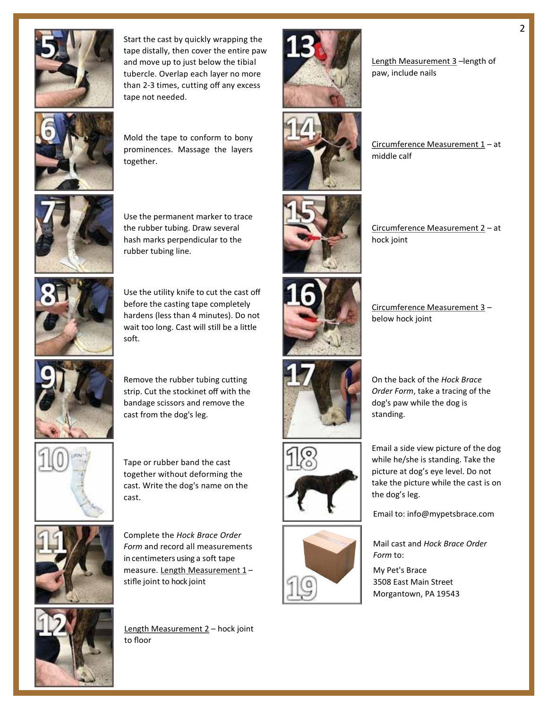

Start the cast by quickly wrapping the tape distally, then cover the entire paw and move up to just below the tibial tubercle. Overlap each layer no more than 2-3 times, cutting off any excess tape not needed.



Mold the tape to conform to bony prominences. Massage the layers together.



Use the permanent marker to trace the rubber tubing. Draw several hash marks perpendicular to the rubber tubing line.



Use the utility knife to cut the cast off before the casting tape completely hardens (less than 4 minutes). Do not wait too long. Cast will still be a little soft.



Remove the rubber tubing cutting strip. Cut the stockinet off with the bandage scissors and remove the cast from the dog's leg.



Tape or rubber band the cast together without deforming the cast. Write the dog's name on the cast.



Complete the *Hock Brace Order Form* and record all measurements in centimeters using a soft tape measure. Length Measurement 1stifle joint to hock joint



Length Measurement 2 - hock joint to floor



Circumference Measurement  $1 - at$ middle calf

Circumference Measurement 2 – at

Length Measurement 3 -length of

paw, include nails





Circumference Measurement 3 –

On the back of the *Hock Brace Order Form*, take a tracing of the dog's paw while the dog is

below hock joint

standing.

the dog's leg.

hock joint







Email a side view picture of the dog while he/she is standing. Take the picture at dog's eye level. Do not take the picture while the cast is on

Email to: info@mypetsbrace.com

Mail cast and *Hock Brace Order Form* to:

My Pet's Brace 3508 East Main Street Morgantown, PA 19543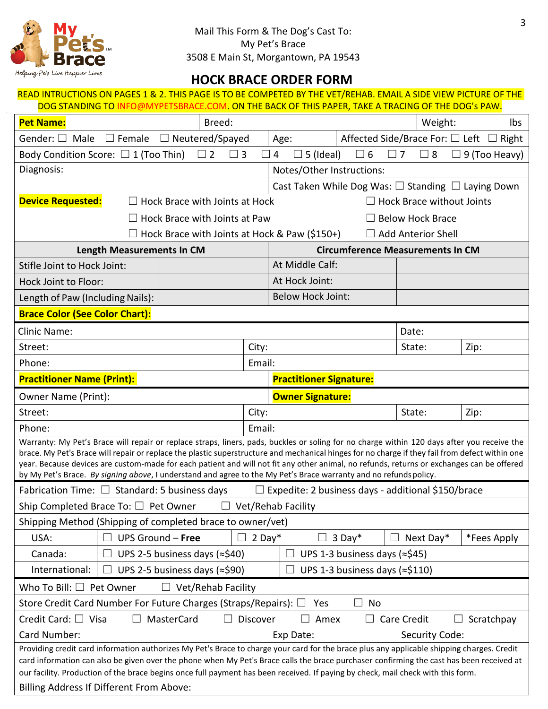

### **HOCK BRACE ORDER FORM** READ INTRUCTIONS ON PAGES 1 & 2. THIS PAGE IS TO BE COMPETED BY THE VET/REHAB. EMAIL A SIDE VIEW PICTURE OF THE

| DOG STANDING TO INFO@MYPETSBRACE.COM. ON THE BACK OF THIS PAPER, TAKE A TRACING OF THE DOG's PAW.                                                                                                                                                                                                                                                                                                                                                                                                                                                                |                                                      |           |                                         |             |                                 |                                                                    |
|------------------------------------------------------------------------------------------------------------------------------------------------------------------------------------------------------------------------------------------------------------------------------------------------------------------------------------------------------------------------------------------------------------------------------------------------------------------------------------------------------------------------------------------------------------------|------------------------------------------------------|-----------|-----------------------------------------|-------------|---------------------------------|--------------------------------------------------------------------|
| <b>Pet Name:</b>                                                                                                                                                                                                                                                                                                                                                                                                                                                                                                                                                 | Breed:                                               |           |                                         |             | Weight:                         | lbs                                                                |
| $\Box$ Female<br>Gender: $\Box$ Male                                                                                                                                                                                                                                                                                                                                                                                                                                                                                                                             | $\Box$ Neutered/Spayed                               |           | Age:                                    |             | Affected Side/Brace For: □ Left | Right                                                              |
| Body Condition Score: $\Box$ 1 (Too Thin)                                                                                                                                                                                                                                                                                                                                                                                                                                                                                                                        | $\Box$ 2<br>$\Box$ 3                                 |           | $\overline{4}$<br>5 (Ideal)<br>$\Box$   | $\square$ 6 | $\square$ 8<br>$\vert$   7      | 9 (Too Heavy)                                                      |
| Diagnosis:                                                                                                                                                                                                                                                                                                                                                                                                                                                                                                                                                       |                                                      |           | Notes/Other Instructions:               |             |                                 |                                                                    |
|                                                                                                                                                                                                                                                                                                                                                                                                                                                                                                                                                                  |                                                      |           |                                         |             |                                 | Cast Taken While Dog Was: $\square$ Standing $\square$ Laying Down |
| <b>Device Requested:</b>                                                                                                                                                                                                                                                                                                                                                                                                                                                                                                                                         | Hock Brace with Joints at Hock                       |           |                                         |             | Hock Brace without Joints       |                                                                    |
|                                                                                                                                                                                                                                                                                                                                                                                                                                                                                                                                                                  | $\Box$ Hock Brace with Joints at Paw                 |           |                                         |             | <b>Below Hock Brace</b>         |                                                                    |
|                                                                                                                                                                                                                                                                                                                                                                                                                                                                                                                                                                  | $\Box$ Hock Brace with Joints at Hock & Paw (\$150+) |           |                                         |             | $\Box$ Add Anterior Shell       |                                                                    |
| <b>Length Measurements In CM</b>                                                                                                                                                                                                                                                                                                                                                                                                                                                                                                                                 |                                                      |           | <b>Circumference Measurements In CM</b> |             |                                 |                                                                    |
| Stifle Joint to Hock Joint:                                                                                                                                                                                                                                                                                                                                                                                                                                                                                                                                      |                                                      |           | At Middle Calf:                         |             |                                 |                                                                    |
| Hock Joint to Floor:                                                                                                                                                                                                                                                                                                                                                                                                                                                                                                                                             |                                                      |           | At Hock Joint:                          |             |                                 |                                                                    |
| Length of Paw (Including Nails):                                                                                                                                                                                                                                                                                                                                                                                                                                                                                                                                 |                                                      |           | <b>Below Hock Joint:</b>                |             |                                 |                                                                    |
| <b>Brace Color (See Color Chart):</b>                                                                                                                                                                                                                                                                                                                                                                                                                                                                                                                            |                                                      |           |                                         |             |                                 |                                                                    |
| <b>Clinic Name:</b>                                                                                                                                                                                                                                                                                                                                                                                                                                                                                                                                              |                                                      |           |                                         |             | Date:                           |                                                                    |
| Street:                                                                                                                                                                                                                                                                                                                                                                                                                                                                                                                                                          |                                                      | City:     |                                         |             | State:                          | Zip:                                                               |
| Phone:                                                                                                                                                                                                                                                                                                                                                                                                                                                                                                                                                           |                                                      | Email:    |                                         |             |                                 |                                                                    |
| <b>Practitioner Name (Print):</b>                                                                                                                                                                                                                                                                                                                                                                                                                                                                                                                                |                                                      |           | <b>Practitioner Signature:</b>          |             |                                 |                                                                    |
| Owner Name (Print):                                                                                                                                                                                                                                                                                                                                                                                                                                                                                                                                              |                                                      |           | <b>Owner Signature:</b>                 |             |                                 |                                                                    |
| Street:                                                                                                                                                                                                                                                                                                                                                                                                                                                                                                                                                          |                                                      | City:     |                                         |             | State:                          | Zip:                                                               |
| Email:<br>Phone:                                                                                                                                                                                                                                                                                                                                                                                                                                                                                                                                                 |                                                      |           |                                         |             |                                 |                                                                    |
| Warranty: My Pet's Brace will repair or replace straps, liners, pads, buckles or soling for no charge within 120 days after you receive the<br>brace. My Pet's Brace will repair or replace the plastic superstructure and mechanical hinges for no charge if they fail from defect within one<br>year. Because devices are custom-made for each patient and will not fit any other animal, no refunds, returns or exchanges can be offered<br>by My Pet's Brace. By signing above, I understand and agree to the My Pet's Brace warranty and no refunds policy. |                                                      |           |                                         |             |                                 |                                                                    |
| Fabrication Time: $\Box$ Standard: 5 business days<br>Expedite: 2 business days - additional \$150/brace                                                                                                                                                                                                                                                                                                                                                                                                                                                         |                                                      |           |                                         |             |                                 |                                                                    |
| Ship Completed Brace To: □ Pet Owner<br>Vet/Rehab Facility                                                                                                                                                                                                                                                                                                                                                                                                                                                                                                       |                                                      |           |                                         |             |                                 |                                                                    |
| Shipping Method (Shipping of completed brace to owner/vet)                                                                                                                                                                                                                                                                                                                                                                                                                                                                                                       |                                                      |           |                                         |             |                                 |                                                                    |
| UPS Ground - Free<br>USA:                                                                                                                                                                                                                                                                                                                                                                                                                                                                                                                                        |                                                      | 2 Day $*$ | $\Box$                                  | $3$ Day*    | Next Day*                       | *Fees Apply                                                        |
| Canada:<br>UPS 2-5 business days (≈\$40)<br>UPS 1-3 business days (≈\$45)                                                                                                                                                                                                                                                                                                                                                                                                                                                                                        |                                                      |           |                                         |             |                                 |                                                                    |
| International:<br>UPS 2-5 business days (≈\$90)<br>UPS 1-3 business days ( $\approx$ \$110)<br>$\overline{\phantom{0}}$                                                                                                                                                                                                                                                                                                                                                                                                                                          |                                                      |           |                                         |             |                                 |                                                                    |
| Who To Bill: $\Box$ Pet Owner<br>$\Box$ Vet/Rehab Facility                                                                                                                                                                                                                                                                                                                                                                                                                                                                                                       |                                                      |           |                                         |             |                                 |                                                                    |
| Store Credit Card Number For Future Charges (Straps/Repairs): □<br>No<br>Ш<br>Yes                                                                                                                                                                                                                                                                                                                                                                                                                                                                                |                                                      |           |                                         |             |                                 |                                                                    |
| Credit Card: $\Box$ Visa<br>MasterCard<br>Discover<br>Amex<br><b>Care Credit</b><br>$\vert \ \ \vert$<br>Scratchpay<br>$\Box$<br>$\overline{\phantom{0}}$                                                                                                                                                                                                                                                                                                                                                                                                        |                                                      |           |                                         |             |                                 |                                                                    |
| Card Number:<br>Exp Date:<br>Security Code:                                                                                                                                                                                                                                                                                                                                                                                                                                                                                                                      |                                                      |           |                                         |             |                                 |                                                                    |
| Providing credit card information authorizes My Pet's Brace to charge your card for the brace plus any applicable shipping charges. Credit<br>card information can also be given over the phone when My Pet's Brace calls the brace purchaser confirming the cast has been received at<br>our facility. Production of the brace begins once full payment has been received. If paying by check, mail check with this form.                                                                                                                                       |                                                      |           |                                         |             |                                 |                                                                    |

Billing Address If Different From Above: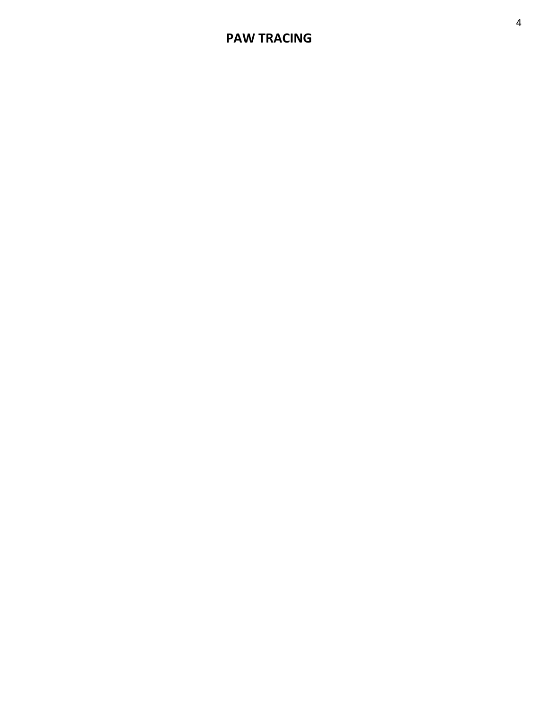## **PAW TRACING**